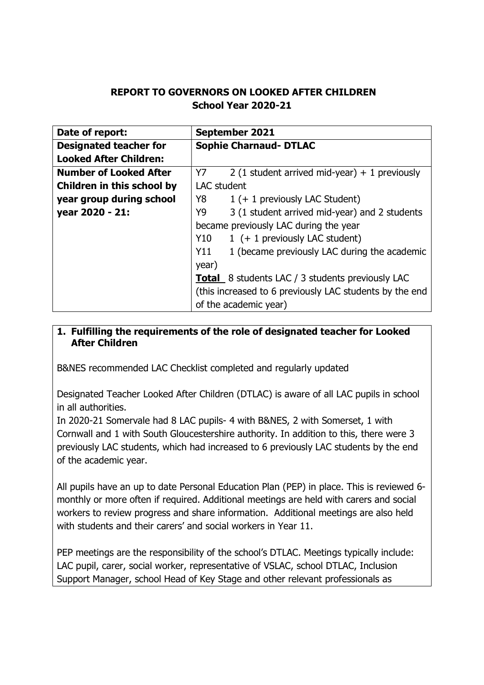# REPORT TO GOVERNORS ON LOOKED AFTER CHILDREN School Year 2020-21

| Date of report:               | <b>September 2021</b>                                   |  |  |
|-------------------------------|---------------------------------------------------------|--|--|
| <b>Designated teacher for</b> | <b>Sophie Charnaud- DTLAC</b>                           |  |  |
| <b>Looked After Children:</b> |                                                         |  |  |
| <b>Number of Looked After</b> | 2 (1 student arrived mid-year) + 1 previously<br>Y7     |  |  |
| Children in this school by    | <b>LAC</b> student                                      |  |  |
| year group during school      | Y8<br>1 (+ 1 previously LAC Student)                    |  |  |
| year 2020 - 21:               | 3 (1 student arrived mid-year) and 2 students<br>Y9     |  |  |
|                               | became previously LAC during the year                   |  |  |
|                               | Y10<br>1 (+ 1 previously LAC student)                   |  |  |
|                               | 1 (became previously LAC during the academic<br>Y11     |  |  |
|                               | year)                                                   |  |  |
|                               | <b>Total</b> 8 students LAC / 3 students previously LAC |  |  |
|                               | (this increased to 6 previously LAC students by the end |  |  |
|                               | of the academic year)                                   |  |  |

## 1. Fulfilling the requirements of the role of designated teacher for Looked After Children

B&NES recommended LAC Checklist completed and regularly updated

Designated Teacher Looked After Children (DTLAC) is aware of all LAC pupils in school in all authorities.

In 2020-21 Somervale had 8 LAC pupils- 4 with B&NES, 2 with Somerset, 1 with Cornwall and 1 with South Gloucestershire authority. In addition to this, there were 3 previously LAC students, which had increased to 6 previously LAC students by the end of the academic year.

All pupils have an up to date Personal Education Plan (PEP) in place. This is reviewed 6 monthly or more often if required. Additional meetings are held with carers and social workers to review progress and share information. Additional meetings are also held with students and their carers' and social workers in Year 11.

PEP meetings are the responsibility of the school's DTLAC. Meetings typically include: LAC pupil, carer, social worker, representative of VSLAC, school DTLAC, Inclusion Support Manager, school Head of Key Stage and other relevant professionals as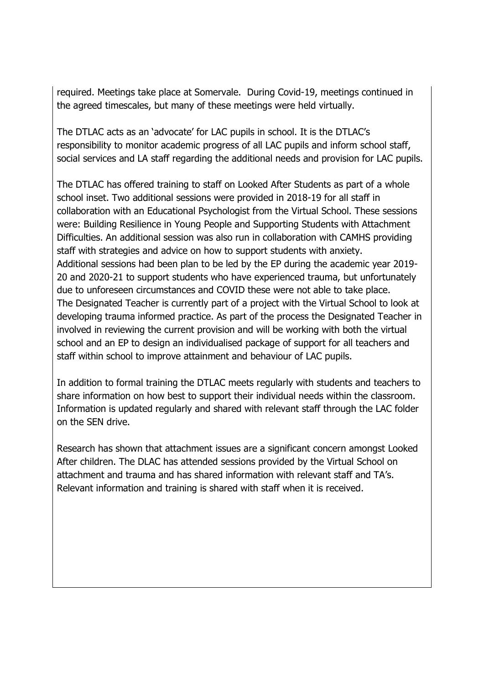required. Meetings take place at Somervale. During Covid-19, meetings continued in the agreed timescales, but many of these meetings were held virtually.

The DTLAC acts as an 'advocate' for LAC pupils in school. It is the DTLAC's responsibility to monitor academic progress of all LAC pupils and inform school staff, social services and LA staff regarding the additional needs and provision for LAC pupils.

The DTLAC has offered training to staff on Looked After Students as part of a whole school inset. Two additional sessions were provided in 2018-19 for all staff in collaboration with an Educational Psychologist from the Virtual School. These sessions were: Building Resilience in Young People and Supporting Students with Attachment Difficulties. An additional session was also run in collaboration with CAMHS providing staff with strategies and advice on how to support students with anxiety. Additional sessions had been plan to be led by the EP during the academic year 2019- 20 and 2020-21 to support students who have experienced trauma, but unfortunately due to unforeseen circumstances and COVID these were not able to take place. The Designated Teacher is currently part of a project with the Virtual School to look at developing trauma informed practice. As part of the process the Designated Teacher in involved in reviewing the current provision and will be working with both the virtual school and an EP to design an individualised package of support for all teachers and staff within school to improve attainment and behaviour of LAC pupils.

In addition to formal training the DTLAC meets regularly with students and teachers to share information on how best to support their individual needs within the classroom. Information is updated regularly and shared with relevant staff through the LAC folder on the SEN drive.

Research has shown that attachment issues are a significant concern amongst Looked After children. The DLAC has attended sessions provided by the Virtual School on attachment and trauma and has shared information with relevant staff and TA's. Relevant information and training is shared with staff when it is received.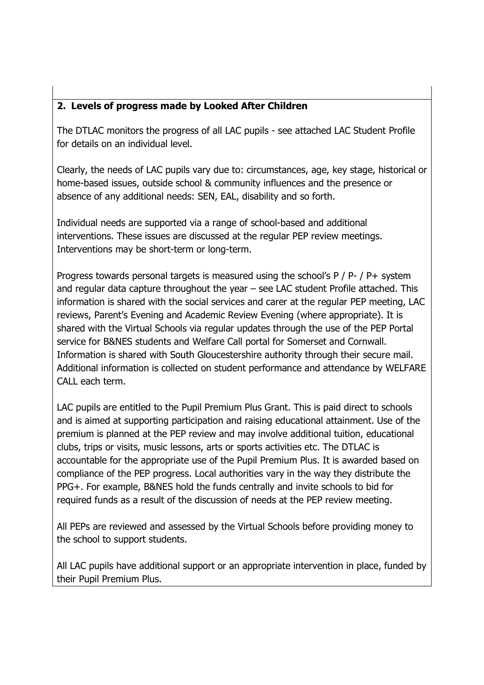# 2. Levels of progress made by Looked After Children

The DTLAC monitors the progress of all LAC pupils - see attached LAC Student Profile for details on an individual level.

Clearly, the needs of LAC pupils vary due to: circumstances, age, key stage, historical or home-based issues, outside school & community influences and the presence or absence of any additional needs: SEN, EAL, disability and so forth.

Individual needs are supported via a range of school-based and additional interventions. These issues are discussed at the regular PEP review meetings. Interventions may be short-term or long-term.

Progress towards personal targets is measured using the school's P / P- / P+ system and regular data capture throughout the year – see LAC student Profile attached. This information is shared with the social services and carer at the regular PEP meeting, LAC reviews, Parent's Evening and Academic Review Evening (where appropriate). It is shared with the Virtual Schools via regular updates through the use of the PEP Portal service for B&NES students and Welfare Call portal for Somerset and Cornwall. Information is shared with South Gloucestershire authority through their secure mail. Additional information is collected on student performance and attendance by WELFARE CALL each term.

LAC pupils are entitled to the Pupil Premium Plus Grant. This is paid direct to schools and is aimed at supporting participation and raising educational attainment. Use of the premium is planned at the PEP review and may involve additional tuition, educational clubs, trips or visits, music lessons, arts or sports activities etc. The DTLAC is accountable for the appropriate use of the Pupil Premium Plus. It is awarded based on compliance of the PEP progress. Local authorities vary in the way they distribute the PPG+. For example, B&NES hold the funds centrally and invite schools to bid for required funds as a result of the discussion of needs at the PEP review meeting.

All PEPs are reviewed and assessed by the Virtual Schools before providing money to the school to support students.

All LAC pupils have additional support or an appropriate intervention in place, funded by their Pupil Premium Plus.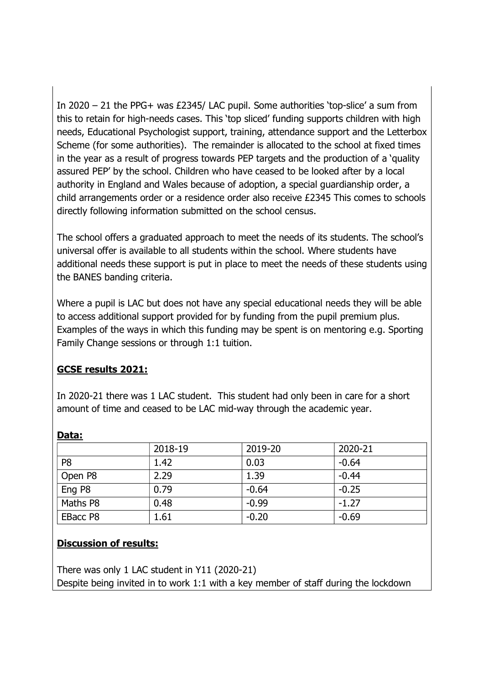In 2020 – 21 the PPG+ was £2345/ LAC pupil. Some authorities 'top-slice' a sum from this to retain for high-needs cases. This 'top sliced' funding supports children with high needs, Educational Psychologist support, training, attendance support and the Letterbox Scheme (for some authorities). The remainder is allocated to the school at fixed times in the year as a result of progress towards PEP targets and the production of a 'quality assured PEP' by the school. Children who have ceased to be looked after by a local authority in England and Wales because of adoption, a special guardianship order, a child arrangements order or a residence order also receive £2345 This comes to schools directly following information submitted on the school census.

The school offers a graduated approach to meet the needs of its students. The school's universal offer is available to all students within the school. Where students have additional needs these support is put in place to meet the needs of these students using the BANES banding criteria.

Where a pupil is LAC but does not have any special educational needs they will be able to access additional support provided for by funding from the pupil premium plus. Examples of the ways in which this funding may be spent is on mentoring e.g. Sporting Family Change sessions or through 1:1 tuition.

## GCSE results 2021:

In 2020-21 there was 1 LAC student. This student had only been in care for a short amount of time and ceased to be LAC mid-way through the academic year.

|                | 2018-19 | 2019-20 | 2020-21 |
|----------------|---------|---------|---------|
| P <sub>8</sub> | 1.42    | 0.03    | $-0.64$ |
| Open P8        | 2.29    | 1.39    | $-0.44$ |
| Eng P8         | 0.79    | $-0.64$ | $-0.25$ |
| Maths P8       | 0.48    | $-0.99$ | $-1.27$ |
| EBacc P8       | 1.61    | $-0.20$ | $-0.69$ |

### Data:

### Discussion of results:

There was only 1 LAC student in Y11 (2020-21) Despite being invited in to work 1:1 with a key member of staff during the lockdown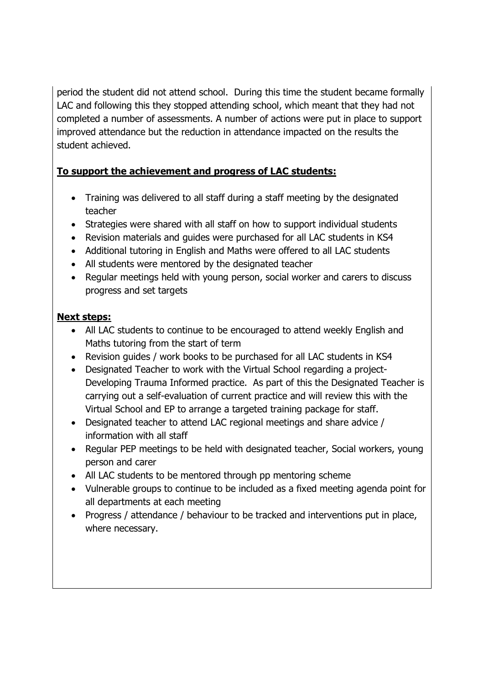period the student did not attend school. During this time the student became formally LAC and following this they stopped attending school, which meant that they had not completed a number of assessments. A number of actions were put in place to support improved attendance but the reduction in attendance impacted on the results the student achieved.

## To support the achievement and progress of LAC students:

- Training was delivered to all staff during a staff meeting by the designated teacher
- Strategies were shared with all staff on how to support individual students
- Revision materials and guides were purchased for all LAC students in KS4
- Additional tutoring in English and Maths were offered to all LAC students
- All students were mentored by the designated teacher
- Regular meetings held with young person, social worker and carers to discuss progress and set targets

## Next steps:

- All LAC students to continue to be encouraged to attend weekly English and Maths tutoring from the start of term
- Revision guides / work books to be purchased for all LAC students in KS4
- Designated Teacher to work with the Virtual School regarding a project-Developing Trauma Informed practice. As part of this the Designated Teacher is carrying out a self-evaluation of current practice and will review this with the Virtual School and EP to arrange a targeted training package for staff.
- Designated teacher to attend LAC regional meetings and share advice / information with all staff
- Regular PEP meetings to be held with designated teacher, Social workers, young person and carer
- All LAC students to be mentored through pp mentoring scheme
- Vulnerable groups to continue to be included as a fixed meeting agenda point for all departments at each meeting
- Progress / attendance / behaviour to be tracked and interventions put in place, where necessary.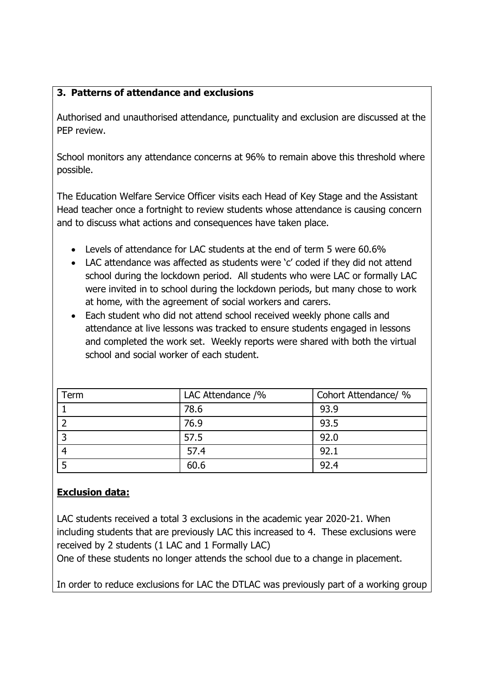## 3. Patterns of attendance and exclusions

Authorised and unauthorised attendance, punctuality and exclusion are discussed at the PEP review.

School monitors any attendance concerns at 96% to remain above this threshold where possible.

The Education Welfare Service Officer visits each Head of Key Stage and the Assistant Head teacher once a fortnight to review students whose attendance is causing concern and to discuss what actions and consequences have taken place.

- Levels of attendance for LAC students at the end of term 5 were 60.6%
- LAC attendance was affected as students were 'c' coded if they did not attend school during the lockdown period. All students who were LAC or formally LAC were invited in to school during the lockdown periods, but many chose to work at home, with the agreement of social workers and carers.
- Each student who did not attend school received weekly phone calls and attendance at live lessons was tracked to ensure students engaged in lessons and completed the work set. Weekly reports were shared with both the virtual school and social worker of each student.

| Term | LAC Attendance /% | Cohort Attendance/ % |
|------|-------------------|----------------------|
|      | 78.6              | 93.9                 |
|      | 76.9              | 93.5                 |
|      | 57.5              | 92.0                 |
|      | 57.4              | 92.1                 |
|      | 60.6              | 92.4                 |

# Exclusion data:

LAC students received a total 3 exclusions in the academic year 2020-21. When including students that are previously LAC this increased to 4. These exclusions were received by 2 students (1 LAC and 1 Formally LAC)

One of these students no longer attends the school due to a change in placement.

In order to reduce exclusions for LAC the DTLAC was previously part of a working group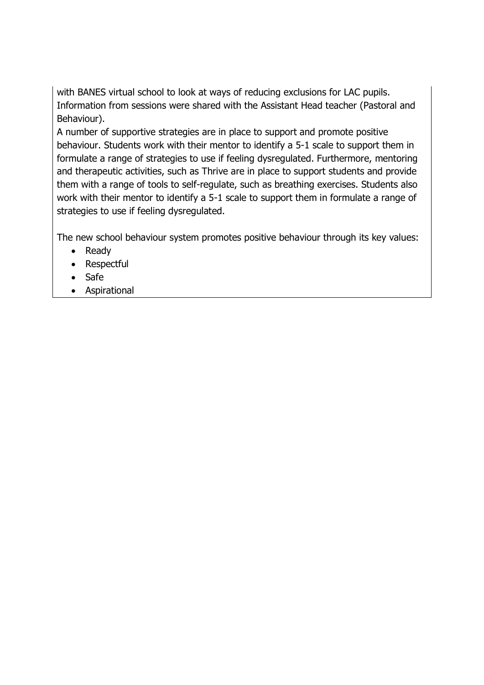with BANES virtual school to look at ways of reducing exclusions for LAC pupils. Information from sessions were shared with the Assistant Head teacher (Pastoral and Behaviour).

A number of supportive strategies are in place to support and promote positive behaviour. Students work with their mentor to identify a 5-1 scale to support them in formulate a range of strategies to use if feeling dysregulated. Furthermore, mentoring and therapeutic activities, such as Thrive are in place to support students and provide them with a range of tools to self-regulate, such as breathing exercises. Students also work with their mentor to identify a 5-1 scale to support them in formulate a range of strategies to use if feeling dysregulated.

The new school behaviour system promotes positive behaviour through its key values:

- Ready
- Respectful
- Safe
- Aspirational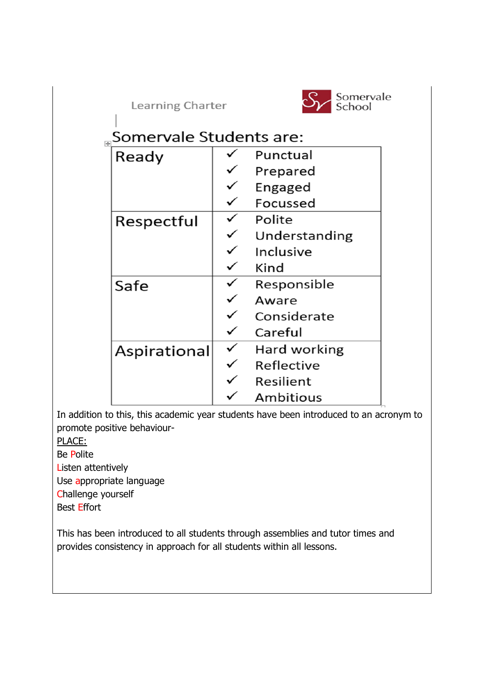Learning Charter



# "Somervale Students are:

| Ready        | Punctual         |
|--------------|------------------|
|              | Prepared         |
|              | Engaged          |
|              | Focussed         |
| Respectful   | Polite           |
|              | Understanding    |
|              | Inclusive        |
|              | Kind             |
| Safe         | Responsible      |
|              | Aware            |
|              | Considerate      |
|              | Careful          |
| Aspirational | Hard working     |
|              | Reflective       |
|              | Resilient        |
|              | <b>Ambitious</b> |

In addition to this, this academic year students have been introduced to an acronym to promote positive behaviour-

PLACE:

Be Polite

Listen attentively

Use appropriate language

Challenge yourself

Best Effort

This has been introduced to all students through assemblies and tutor times and provides consistency in approach for all students within all lessons.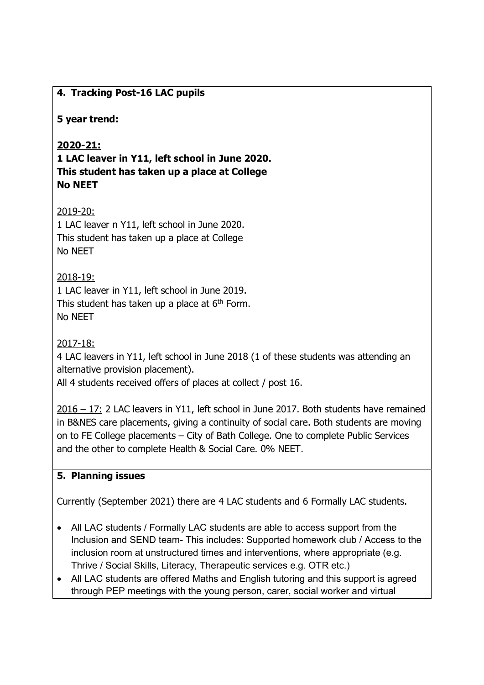## 4. Tracking Post-16 LAC pupils

### 5 year trend:

## 2020-21:

1 LAC leaver in Y11, left school in June 2020. This student has taken up a place at College No NEET

## 2019-20:

1 LAC leaver n Y11, left school in June 2020. This student has taken up a place at College No NEET

## 2018-19:

1 LAC leaver in Y11, left school in June 2019. This student has taken up a place at  $6<sup>th</sup>$  Form. No NEET

### 2017-18:

4 LAC leavers in Y11, left school in June 2018 (1 of these students was attending an alternative provision placement).

All 4 students received offers of places at collect / post 16.

2016 – 17: 2 LAC leavers in Y11, left school in June 2017. Both students have remained in B&NES care placements, giving a continuity of social care. Both students are moving on to FE College placements – City of Bath College. One to complete Public Services and the other to complete Health & Social Care. 0% NEET.

## 5. Planning issues

Currently (September 2021) there are 4 LAC students and 6 Formally LAC students.

- All LAC students / Formally LAC students are able to access support from the Inclusion and SEND team- This includes: Supported homework club / Access to the inclusion room at unstructured times and interventions, where appropriate (e.g. Thrive / Social Skills, Literacy, Therapeutic services e.g. OTR etc.)
- All LAC students are offered Maths and English tutoring and this support is agreed through PEP meetings with the young person, carer, social worker and virtual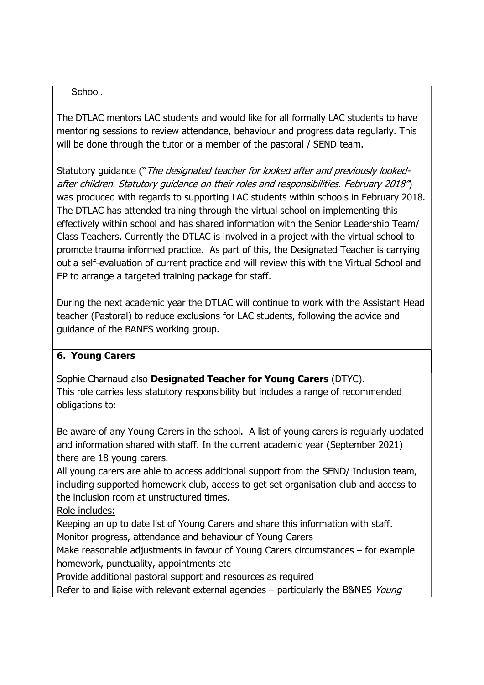## School.

The DTLAC mentors LAC students and would like for all formally LAC students to have mentoring sessions to review attendance, behaviour and progress data regularly. This will be done through the tutor or a member of the pastoral / SEND team.

Statutory guidance ("The designated teacher for looked after and previously lookedafter children. Statutory guidance on their roles and responsibilities. February 2018") was produced with regards to supporting LAC students within schools in February 2018. The DTLAC has attended training through the virtual school on implementing this effectively within school and has shared information with the Senior Leadership Team/ Class Teachers. Currently the DTLAC is involved in a project with the virtual school to promote trauma informed practice. As part of this, the Designated Teacher is carrying out a self-evaluation of current practice and will review this with the Virtual School and EP to arrange a targeted training package for staff.

During the next academic year the DTLAC will continue to work with the Assistant Head teacher (Pastoral) to reduce exclusions for LAC students, following the advice and guidance of the BANES working group.

## 6. Young Carers

Sophie Charnaud also Designated Teacher for Young Carers (DTYC). This role carries less statutory responsibility but includes a range of recommended obligations to:

Be aware of any Young Carers in the school. A list of young carers is regularly updated and information shared with staff. In the current academic year (September 2021) there are 18 young carers.

All young carers are able to access additional support from the SEND/ Inclusion team, including supported homework club, access to get set organisation club and access to the inclusion room at unstructured times.

Role includes:

Keeping an up to date list of Young Carers and share this information with staff. Monitor progress, attendance and behaviour of Young Carers

Make reasonable adjustments in favour of Young Carers circumstances – for example homework, punctuality, appointments etc

Provide additional pastoral support and resources as required

Refer to and liaise with relevant external agencies – particularly the B&NES Young